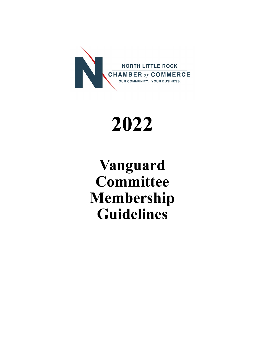

# **2022**

## **Vanguard Committee Membership Guidelines**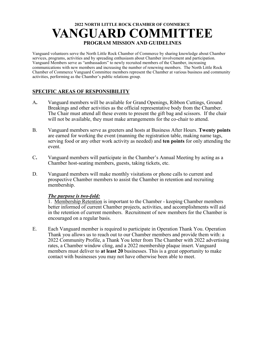## **2022 NORTH LITTLE ROCK CHAMBER OF COMMERCE VANGUARD COMMITTEE PROGRAM MISSION AND GUIDELINES**

Vanguard volunteers serve the North Little Rock Chamber of Commerce by sharing knowledge about Chamber services, programs, activities and by spreading enthusiasm about Chamber involvement and participation. Vanguard Members serve as "ambassadors" to newly recruited members of the Chamber, increasing communications with new members and increasing the number of renewing members. The North Little Rock Chamber of Commerce Vanguard Committee members represent the Chamber at various business and community activities, performing as the Chamber's public relations group.

#### **SPECIFIC AREAS OF RESPONSIBILITY**

- A**.** Vanguard members will be available for Grand Openings, Ribbon Cuttings, Ground Breakings and other activities as the official representative body from the Chamber. The Chair must attend all these events to present the gift bag and scissors. If the chair will not be available, they must make arrangements for the co-chair to attend.
- B. Vanguard members serve as greeters and hosts at Business After Hours. **Twenty points**  are earned for working the event (manning the registration table, making name tags, serving food or any other work activity as needed) and **ten points** for only attending the event.
- C**.** Vanguard members will participate in the Chamber's Annual Meeting by acting as a Chamber host-seating members, guests, taking tickets, etc.
- D. Vanguard members will make monthly visitations or phone calls to current and prospective Chamber members to assist the Chamber in retention and recruiting membership.

#### *The purpose is two-fold:*

1. Membership Retention is important to the Chamber - keeping Chamber members better informed of current Chamber projects, activities, and accomplishments will aid in the retention of current members. Recruitment of new members for the Chamber is encouraged on a regular basis.

E. Each Vanguard member is required to participate in Operation Thank You. Operation Thank you allows us to reach out to our Chamber members and provide them with: a 2022 Community Profile, a Thank You letter from The Chamber with 2022 advertising rates, a Chamber window cling, and a 2022 membership plaque insert. Vanguard members must deliver to **at least 20** businesses. This is a great opportunity to make contact with businesses you may not have otherwise been able to meet.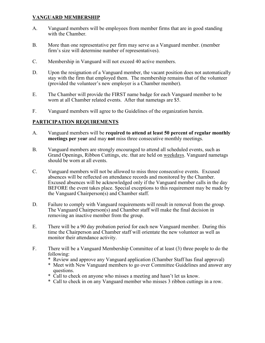#### **VANGUARD MEMBERSHIP**

- A. Vanguard members will be employees from member firms that are in good standing with the Chamber.
- B. More than one representative per firm may serve as a Vanguard member. (member firm's size will determine number of representatives).
- C. Membership in Vanguard will not exceed 40 active members.
- D. Upon the resignation of a Vanguard member, the vacant position does not automatically stay with the firm that employed them. The membership remains that of the volunteer (provided the volunteer's new employer is a Chamber member).
- E. The Chamber will provide the FIRST name badge for each Vanguard member to be worn at all Chamber related events. After that nametags are \$5.
- F. Vanguard members will agree to the Guidelines of the organization herein.

#### **PARTICIPATION REQUIREMENTS**

- A. Vanguard members will be **required to attend at least 50 percent of regular monthly meetings per year** and may **not** miss three consecutive monthly meetings.
- B. Vanguard members are strongly encouraged to attend all scheduled events, such as Grand Openings, Ribbon Cuttings, etc. that are held on weekdays. Vanguard nametags should be worn at all events.
- C. Vanguard members will not be allowed to miss three consecutive events. Excused absences will be reflected on attendance records and monitored by the Chamber. Excused absences will be acknowledged only if the Vanguard member calls in the day BEFORE the event takes place. Special exceptions to this requirement may be made by the Vanguard Chairperson(s) and Chamber staff.
- D. Failure to comply with Vanguard requirements will result in removal from the group. The Vanguard Chairperson(s) and Chamber staff will make the final decision in removing an inactive member from the group.
- E. There will be a 90 day probation period for each new Vanguard member. During this time the Chairperson and Chamber staff will orientate the new volunteer as well as monitor their attendance activity.
- F. There will be a Vanguard Membership Committee of at least (3) three people to do the following:
	- \* Review and approve any Vanguard application (Chamber Staff has final approval)
	- \* Meet with New Vanguard members to go over Committee Guidelines and answer any questions.
	- \* Call to check on anyone who misses a meeting and hasn't let us know.
	- \* Call to check in on any Vanguard member who misses 3 ribbon cuttings in a row.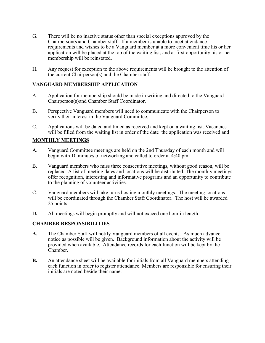- G. There will be no inactive status other than special exceptions approved by the Chairperson(s)and Chamber staff. If a member is unable to meet attendance requirements and wishes to be a Vanguard member at a more convenient time his or her application will be placed at the top of the waiting list, and at first opportunity his or her membership will be reinstated.
- H. Any request for exception to the above requirements will be brought to the attention of the current Chairperson(s) and the Chamber staff.

#### **VANGUARD MEMBERSHIP APPLICATION**

- A. Application for membership should be made in writing and directed to the Vanguard Chairperson(s)and Chamber Staff Coordinator.
- B. Perspective Vanguard members will need to communicate with the Chairperson to verify their interest in the Vanguard Committee.
- C. Applications will be dated and timed as received and kept on a waiting list. Vacancies will be filled from the waiting list in order of the date the application was received and

#### **MONTHLY MEETINGS**

- A. Vanguard Committee meetings are held on the 2nd Thursday of each month and will begin with 10 minutes of networking and called to order at 4:40 pm.
- B. Vanguard members who miss three consecutive meetings, without good reason, will be replaced. A list of meeting dates and locations will be distributed. The monthly meetings offer recognition, interesting and informative programs and an opportunity to contribute to the planning of volunteer activities.
- C. Vanguard members will take turns hosting monthly meetings. The meeting locations will be coordinated through the Chamber Staff Coordinator. The host will be awarded 25 points.
- D**.** All meetings will begin promptly and will not exceed one hour in length.

#### **CHAMBER RESPONSIBILITIES**

- **A.** The Chamber Staff will notify Vanguard members of all events. As much advance notice as possible will be given. Background information about the activity will be provided when available. Attendance records for each function will be kept by the Chamber.
- **B.** An attendance sheet will be available for initials from all Vanguard members attending each function in order to register attendance. Members are responsible for ensuring their initials are noted beside their name.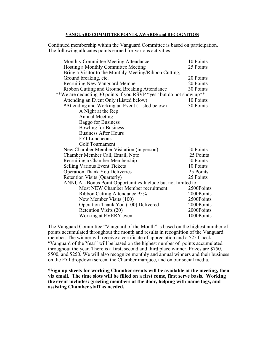#### **VANGUARD COMMITTEE POINTS, AWARDS and RECOGNITION**

Continued membership within the Vanguard Committee is based on participation. The following allocates points earned for various activities:

| Monthly Committee Meeting Attendance                                | 10 Points  |  |
|---------------------------------------------------------------------|------------|--|
| Hosting a Monthly Committee Meeting                                 | 25 Points  |  |
| Bring a Visitor to the Monthly Meeting/Ribbon Cutting,              |            |  |
| Ground breaking, etc.                                               | 20 Points  |  |
| <b>Recruiting New Vanguard Member</b>                               | 20 Points  |  |
| Ribbon Cutting and Ground Breaking Attendance                       | 30 Points  |  |
| **We are deducting 30 points if you RSVP "yes" but do not show up** |            |  |
| Attending an Event Only (Listed below)                              | 10 Points  |  |
| *Attending and Working an Event (Listed below)                      | 30 Points  |  |
| A Night at the Rep                                                  |            |  |
| <b>Annual Meeting</b>                                               |            |  |
| <b>Baggo for Business</b>                                           |            |  |
| <b>Bowling for Business</b>                                         |            |  |
| <b>Business After Hours</b>                                         |            |  |
| <b>FYI</b> Luncheons                                                |            |  |
| Golf Tournament                                                     |            |  |
| New Chamber Member Visitation (in person)                           | 50 Points  |  |
| Chamber Member Call, Email, Note                                    | 25 Points  |  |
| Recruiting a Chamber Membership                                     | 50 Points  |  |
| <b>Selling Various Event Tickets</b>                                | 10 Points  |  |
| <b>Operation Thank You Deliveries</b>                               | 25 Points  |  |
| <b>Retention Visits (Quarterly)</b>                                 | 25 Points  |  |
| ANNUAL Bonus Point Opportunities Include but not limited to:        |            |  |
| Most NEW Chamber Member recruitment                                 | 2500Points |  |
| Ribbon Cutting Attendance 95%                                       | 2000Points |  |
| New Member Visits (100)                                             | 2500Points |  |
| Operation Thank You (100) Delivered                                 | 2000Points |  |
| Retention Visits (20)                                               | 2000Points |  |
| Working at EVERY event                                              | 1000Points |  |
|                                                                     |            |  |

The Vanguard Committee "Vanguard of the Month" is based on the highest number of points accumulated throughout the month and results in recognition of the Vanguard member. The winner will receive a certificate of appreciation and a \$25 Check. "Vanguard of the Year" will be based on the highest number of points accumulated throughout the year. There is a first, second and third place winner. Prizes are \$750, \$500, and \$250. We will also recognize monthly and annual winners and their business on the FYI dropdown screen, the Chamber marquee, and on our social media.

**\*Sign up sheets for working Chamber events will be available at the meeting, then via email. The time slots will be filled on a first come, first serve basis. Working the event includes: greeting members at the door, helping with name tags, and assisting Chamber staff as needed.**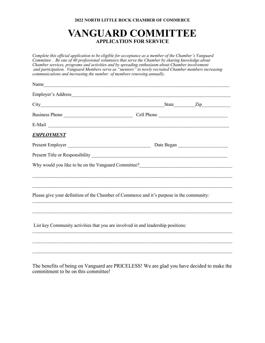#### **2022 NORTH LITTLE ROCK CHAMBER OF COMMERCE**

### **VANGUARD COMMITTEE APPLICATION FOR SERVICE**

*Complete this official application to be eligible for acceptance as a member of the Chamber's Vanguard Committee . Be one of 40 professional volunteers that serve the Chamber by sharing knowledge about Chamber services, programs and activities and by spreading enthusiasm about Chamber involvement and participation. Vanguard Members serve as "mentors" to newly recruited Chamber members increasing communications and increasing the number of members renewing annually.*

| Name              |                                                                                                                                                                             |
|-------------------|-----------------------------------------------------------------------------------------------------------------------------------------------------------------------------|
|                   |                                                                                                                                                                             |
|                   |                                                                                                                                                                             |
|                   |                                                                                                                                                                             |
|                   |                                                                                                                                                                             |
| <b>EMPLOYMENT</b> |                                                                                                                                                                             |
|                   |                                                                                                                                                                             |
|                   |                                                                                                                                                                             |
|                   | Why would you like to be on the Vanguard Committee?<br><u>Letting</u> 2020 and 2021 and 2021 and 2021 and 2021 and 2021 and 2021 and 2021 and 2021 and 2021 and 2021 and 20 |
|                   |                                                                                                                                                                             |
|                   |                                                                                                                                                                             |
|                   | Please give your definition of the Chamber of Commerce and it's purpose in the community:                                                                                   |
|                   |                                                                                                                                                                             |
|                   |                                                                                                                                                                             |
|                   | List key Community activities that you are involved in and leadership positions:                                                                                            |
|                   |                                                                                                                                                                             |
|                   |                                                                                                                                                                             |

The benefits of being on Vanguard are PRICELESS! We are glad you have decided to make the commitment to be on this committee!